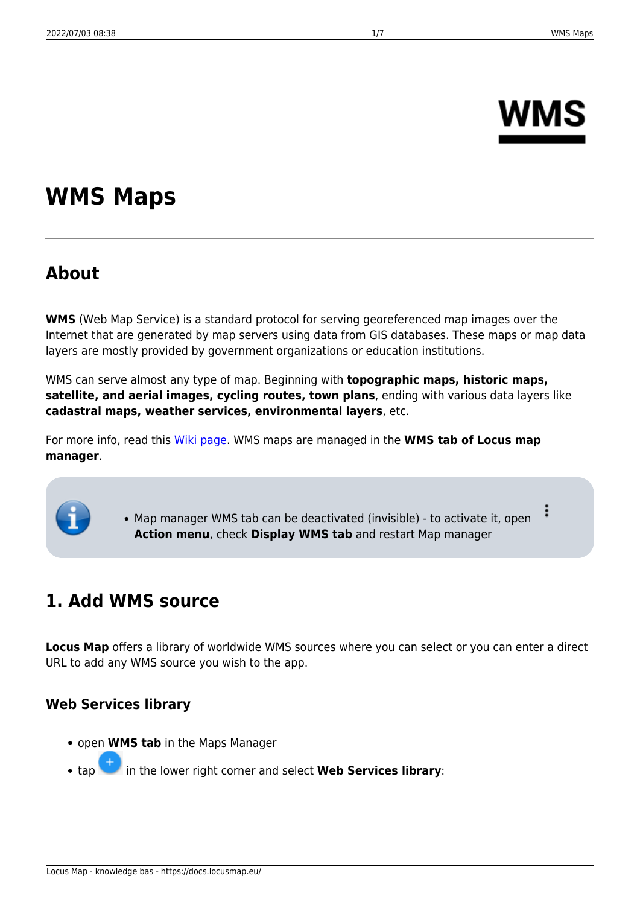# **NMS**

## **WMS Maps**

## **About**

**WMS** (Web Map Service) is a standard protocol for serving georeferenced map images over the Internet that are generated by map servers using data from GIS databases. These maps or map data layers are mostly provided by government organizations or education institutions.

WMS can serve almost any type of map. Beginning with **topographic maps, historic maps, satellite, and aerial images, cycling routes, town plans**, ending with various data layers like **cadastral maps, weather services, environmental layers**, etc.

For more info, read this [Wiki page](http://en.wikipedia.org/wiki/Web_Map_Service). WMS maps are managed in the **WMS tab of Locus map manager**.

> ፡ Map manager WMS tab can be deactivated (invisible) - to activate it, open **Action menu**, check **Display WMS tab** and restart Map manager

## **1. Add WMS source**

**Locus Map** offers a library of worldwide WMS sources where you can select or you can enter a direct URL to add any WMS source you wish to the app.

#### **Web Services library**

- open **WMS tab** in the Maps Manager
- tap in the lower right corner and select **Web Services library**: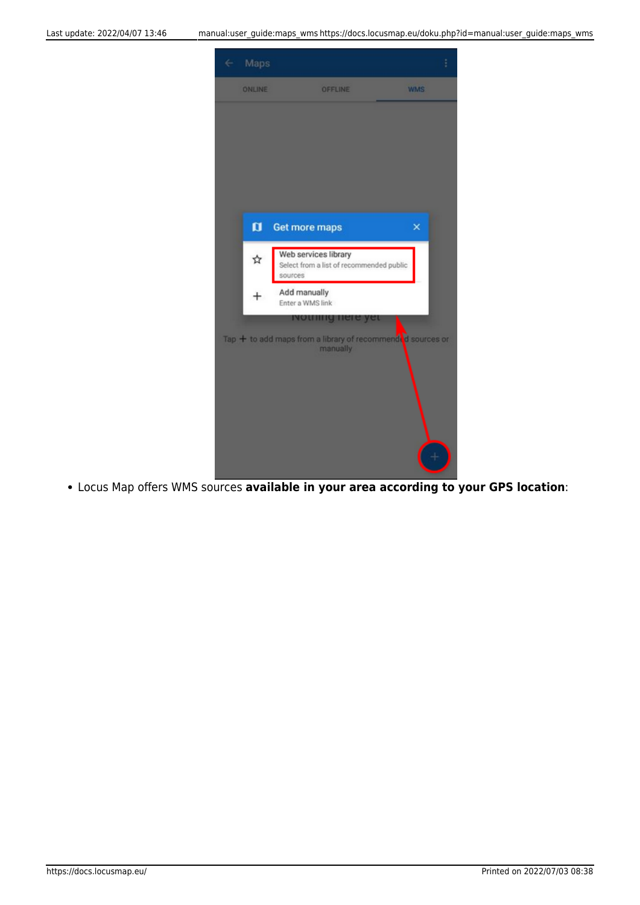

Locus Map offers WMS sources **available in your area according to your GPS location**: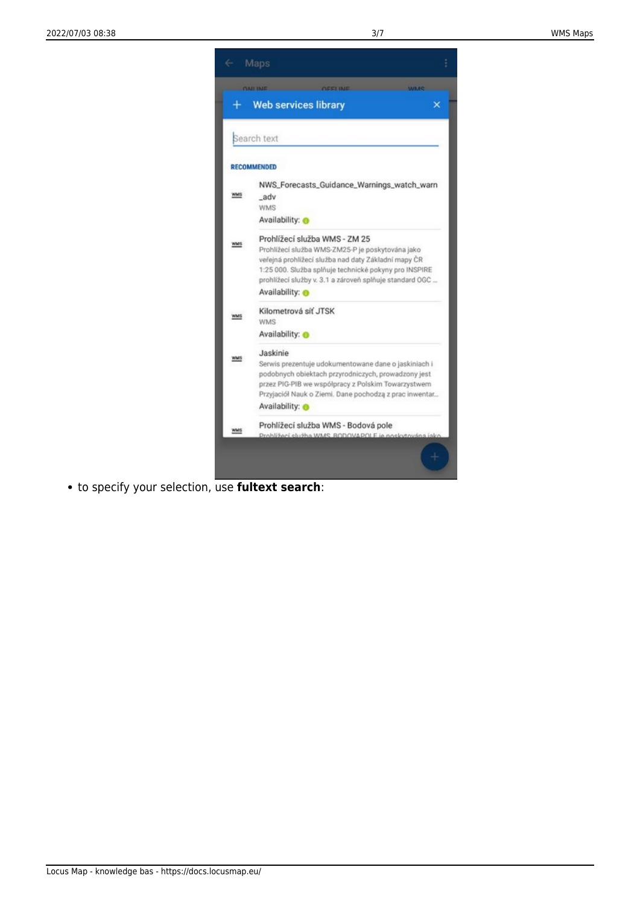

to specify your selection, use **fultext search**: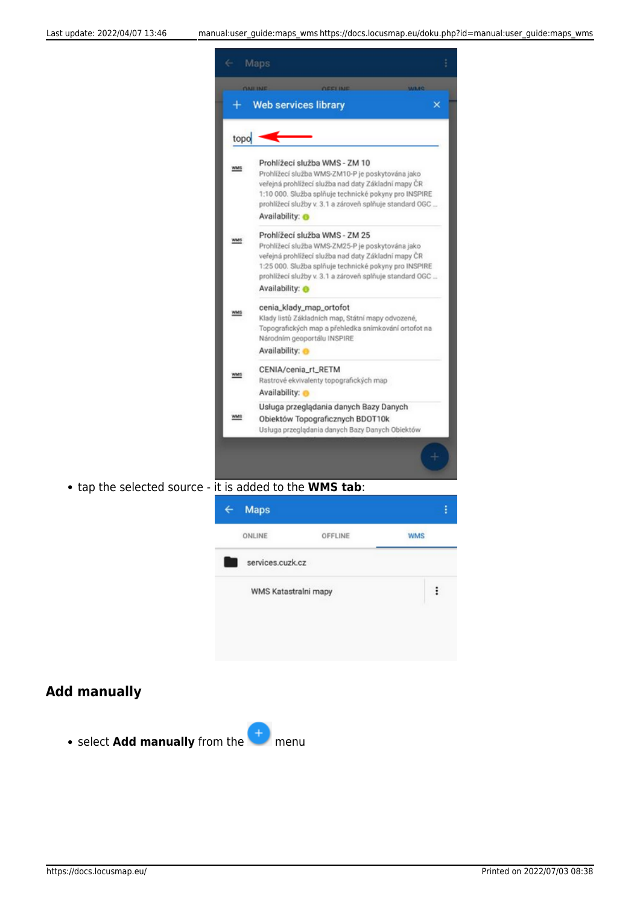

tap the selected source - it is added to the **WMS tab**:



#### **Add manually**

**• select Add manually** from the **the menu**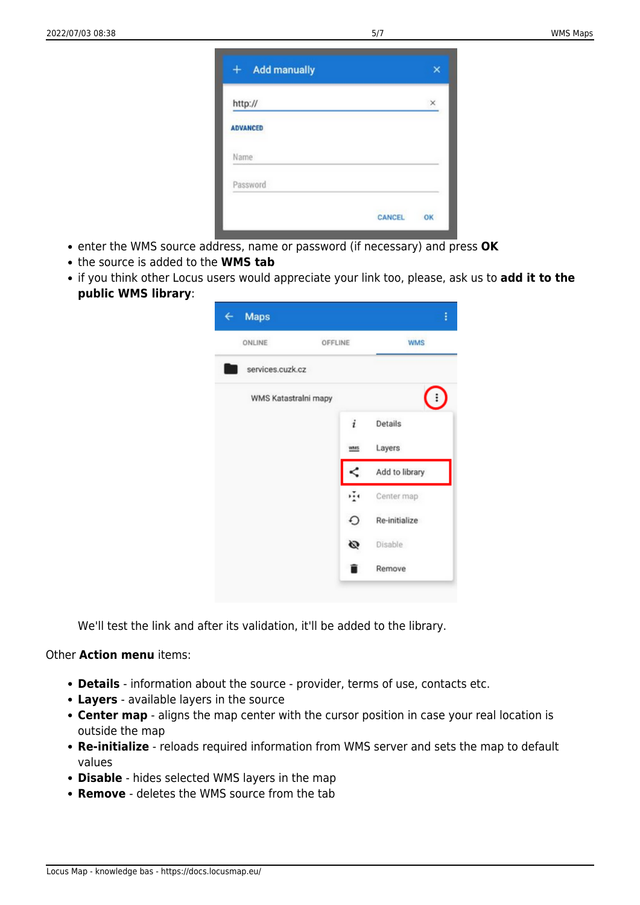| <b>Add manually</b><br>$+$ |        | ×  |
|----------------------------|--------|----|
| http://                    |        | ×  |
| <b>ADVANCED</b>            |        |    |
| Name                       |        |    |
| Password                   |        |    |
|                            | CANCEL | OK |

- enter the WMS source address, name or password (if necessary) and press **OK**
- the source is added to the **WMS tab**
- if you think other Locus users would appreciate your link too, please, ask us to **add it to the public WMS library**:

| ONLINE               | OFFLINE     | <b>WMS</b>     |
|----------------------|-------------|----------------|
| services.cuzk.cz     |             |                |
| WMS Katastralni mapy |             | ፧              |
|                      | i           | Details        |
|                      | <b>Whas</b> | Layers         |
|                      | ≺           | Add to library |
|                      | ÷           | Center map     |
|                      | O           | Re-initialize  |
|                      | Ø           | Disable        |
|                      |             | Remove         |

We'll test the link and after its validation, it'll be added to the library.

#### Other **Action menu** items:

- **Details** information about the source provider, terms of use, contacts etc.
- **Layers** available layers in the source
- **Center map** aligns the map center with the cursor position in case your real location is outside the map
- **Re-initialize** reloads required information from WMS server and sets the map to default values
- **Disable** hides selected WMS layers in the map
- **Remove** deletes the WMS source from the tab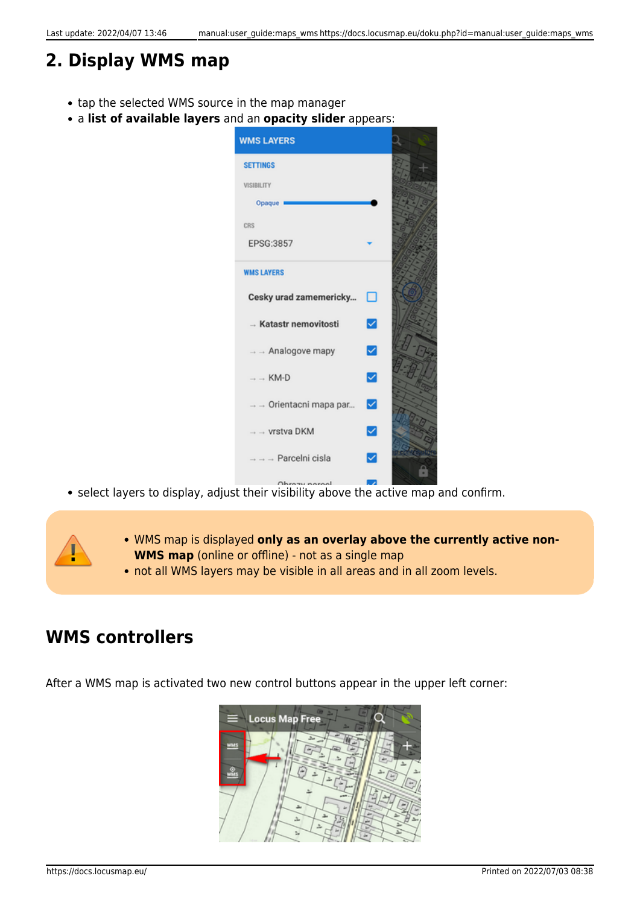## **2. Display WMS map**

- tap the selected WMS source in the map manager
- a **list of available layers** and an **opacity slider** appears:

| <b>WMS LAYERS</b>                |   |  |
|----------------------------------|---|--|
| <b>SETTINGS</b>                  |   |  |
| <b>VISIBILITY</b>                |   |  |
| Opaque                           |   |  |
| CRS                              |   |  |
| EPSG:3857                        |   |  |
| <b>WMS LAYERS</b>                |   |  |
| Cesky urad zamemericky           | □ |  |
| - Katastr nemovitosti            | ▽ |  |
| $\rightarrow$ - Analogove mapy   | ☑ |  |
| $\rightarrow$ $\rightarrow$ KM-D | ▽ |  |
| → → Orientacni mapa par          | ⊻ |  |
| + → vrstva DKM                   | ✓ |  |
| Parcelni cisla                   | ✓ |  |
|                                  |   |  |

- select layers to display, adjust their visibility above the active map and confirm.
	- WMS map is displayed **only as an overlay above the currently active non-WMS map** (online or offline) - not as a single map
	- not all WMS layers may be visible in all areas and in all zoom levels.

## **WMS controllers**

After a WMS map is activated two new control buttons appear in the upper left corner: